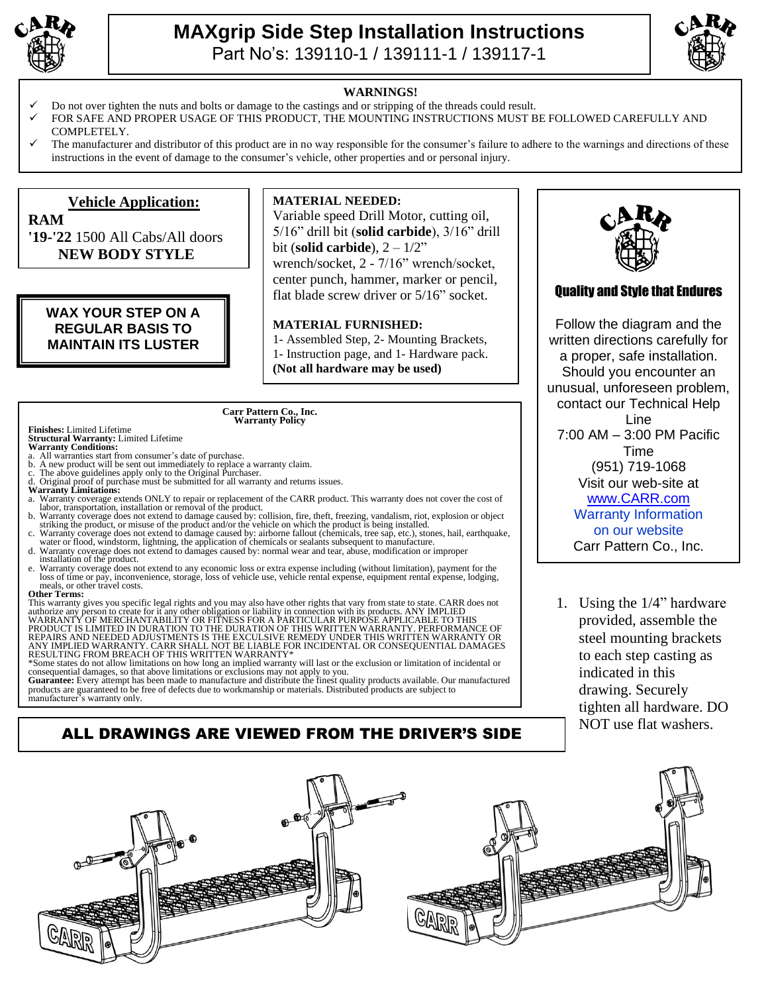

### **MAXgrip Side Step Installation Instructions**  Part No's: 139110-1 / 139111-1 / 139117-1



#### **WARNINGS!**

- Do not over tighten the nuts and bolts or damage to the castings and or stripping of the threads could result.
- FOR SAFE AND PROPER USAGE OF THIS PRODUCT, THE MOUNTING INSTRUCTIONS MUST BE FOLLOWED CAREFULLY AND COMPLETELY.
- The manufacturer and distributor of this product are in no way responsible for the consumer's failure to adhere to the warnings and directions of these instructions in the event of damage to the consumer's vehicle, other properties and or personal injury.

#### **Vehicle Application: RAM**

**'19-'22** 1500 All Cabs/All doors **NEW BODY STYLE**

### **WAX YOUR STEP ON A REGULAR BASIS TO MAINTAIN ITS LUSTER**

#### **MATERIAL NEEDED:**

Variable speed Drill Motor, cutting oil, 5/16" drill bit (**solid carbide**), 3/16" drill bit (**solid carbide**), 2 – 1/2"

wrench/socket, 2 - 7/16" wrench/socket, center punch, hammer, marker or pencil, flat blade screw driver or 5/16" socket.

#### **MATERIAL FURNISHED:**

1- Assembled Step, 2- Mounting Brackets, 1- Instruction page, and 1- Hardware pack. **(Not all hardware may be used)**

### **Carr Pattern Co., Inc. Warranty Policy**

# **Finishes:** Limited Lifetime **Structural Warranty:** Limited Lifetime **Warranty Conditions:**

- All warranties start from consumer's date of purchase.<br>b. A new product will be sent out immediately to replace
- b. A new product will be sent out immediately to replace a warranty claim. c. The above guidelines apply only to the Original Purchaser.
- 
- Original proof of purchase must be submitted for all warranty and returns issues. **Warranty Limitations:**
- a. Warranty coverage extends ONLY to repair or replacement of the CARR product. This warranty does not cover the cost of labor, transportation, installation or removal of the product.
- b. Warranty coverage does not extend to damage caused by: collision, fire, theft, freezing, vandalism, riot, explosion or object<br>striking the product, or misuse of the product and/or the vehicle on which the product is bei
- water or flood, windstorm, lightning, the application of chemicals or sealants subsequent to manufacture. d. Warranty coverage does not extend to damages caused by: normal wear and tear, abuse, modification or improper
- installation of the product. e. Warranty coverage does not extend to any economic loss or extra expense including (without limitation), payment for the loss of time or pay, inconvenience, storage, loss of vehicle use, vehicle rental expense, equipment
- meals, or other travel costs. **Other Terms:**

This warranty gives you specific legal rights and you may also have other rights that vary from state to state. CARR does not authorize any person to create for it any other obligation or liability in connection with its products. ANY IMPLIED<br>WARRANTY OF MERCHANTABILITY OR FITNESS FOR A PARTICULAR PURPOSE APPLICABLE TO THIS<br>PRODUCT IS LIMITED IN

products are guaranteed to be free of defects due to workmanship or materials. Distributed products are subject to manufacturer's warranty only.

### ALL DRAWINGS ARE VIEWED FROM THE DRIVER'S SIDE



### Quality and Style that Endures

Follow the diagram and the written directions carefully for a proper, safe installation. Should you encounter an unusual, unforeseen problem, contact our Technical Help Line 7:00 AM – 3:00 PM Pacific Time (951) 719-1068 Visit our web-site at [www.CARR.com](http://www.carr.com/) Warranty Information on our website Carr Pattern Co., Inc.

1. Using the 1/4" hardware provided, assemble the steel mounting brackets to each step casting as indicated in this drawing. Securely tighten all hardware. DO NOT use flat washers.